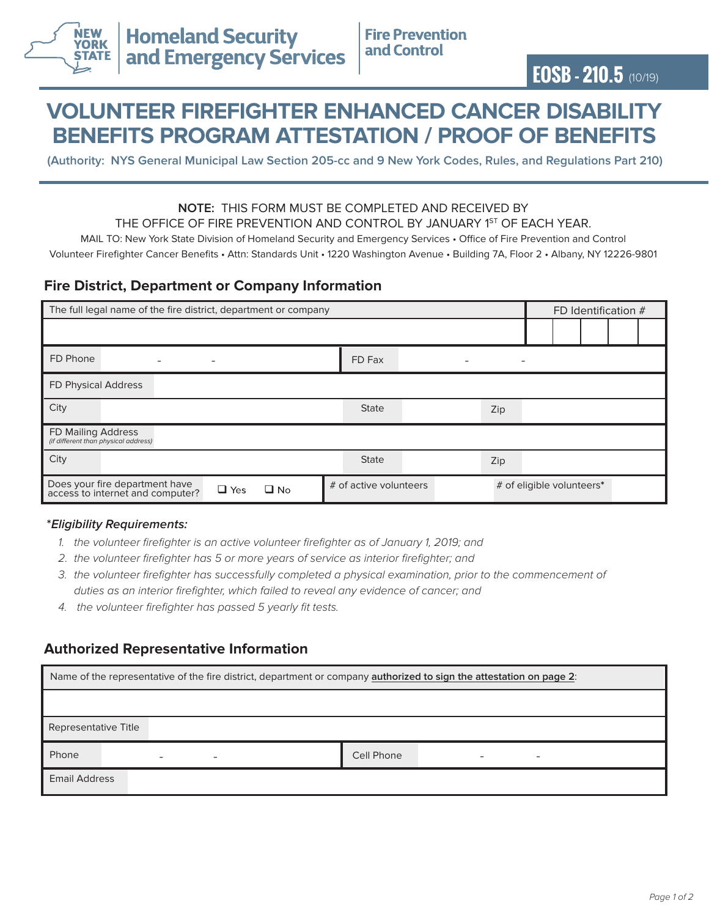

# **VOLUNTEER FIREFIGHTER ENHANCED CANCER DISABILITY BENEFITS PROGRAM ATTESTATION / PROOF OF BENEFITS**

**(Authority: NYS General Municipal Law Section 205-cc and 9 New York Codes, Rules, and Regulations Part 210)**

#### **NOTE:** THIS FORM MUST BE COMPLETED AND RECEIVED BY THE OFFICE OF FIRE PREVENTION AND CONTROL BY JANUARY 1ST OF EACH YEAR.

MAIL TO: New York State Division of Homeland Security and Emergency Services • Office of Fire Prevention and Control

Volunteer Firefighter Cancer Benefits • Attn: Standards Unit • 1220 Washington Avenue • Building 7A, Floor 2 • Albany, NY 12226-9801

## **Fire District, Department or Company Information**

| The full legal name of the fire district, department or company    |                          |              |  |                        | FD Identification # |                           |  |  |  |  |  |
|--------------------------------------------------------------------|--------------------------|--------------|--|------------------------|---------------------|---------------------------|--|--|--|--|--|
|                                                                    |                          |              |  |                        |                     |                           |  |  |  |  |  |
| FD Phone                                                           | $\overline{\phantom{a}}$ |              |  | FD Fax                 |                     | $\overline{\phantom{0}}$  |  |  |  |  |  |
| FD Physical Address                                                |                          |              |  |                        |                     |                           |  |  |  |  |  |
| City                                                               |                          |              |  | <b>State</b>           |                     | Zip                       |  |  |  |  |  |
| FD Mailing Address<br>(if different than physical address)         |                          |              |  |                        |                     |                           |  |  |  |  |  |
| City                                                               |                          |              |  | <b>State</b>           |                     | Zip                       |  |  |  |  |  |
| Does your fire department have<br>access to internet and computer? | $\Box$ Yes               | $\square$ No |  | # of active volunteers |                     | # of eligible volunteers* |  |  |  |  |  |

### **\*Eligibility Requirements:**

- *1. the volunteer firefighter is an active volunteer firefighter as of January 1, 2019; and*
- *2. the volunteer firefighter has 5 or more years of service as interior firefighter; and*
- *3. the volunteer firefighter has successfully completed a physical examination, prior to the commencement of duties as an interior firefighter, which failed to reveal any evidence of cancer; and*
- *4. the volunteer firefighter has passed 5 yearly fit tests.*

## **Authorized Representative Information**

| Name of the representative of the fire district, department or company <b>authorized to sign the attestation on page 2</b> : |                                                      |            |   |  |  |  |
|------------------------------------------------------------------------------------------------------------------------------|------------------------------------------------------|------------|---|--|--|--|
|                                                                                                                              |                                                      |            |   |  |  |  |
| Representative Title                                                                                                         |                                                      |            |   |  |  |  |
| Phone                                                                                                                        | $\overline{\phantom{0}}$<br>$\overline{\phantom{a}}$ | Cell Phone | - |  |  |  |
| <b>Email Address</b>                                                                                                         |                                                      |            |   |  |  |  |